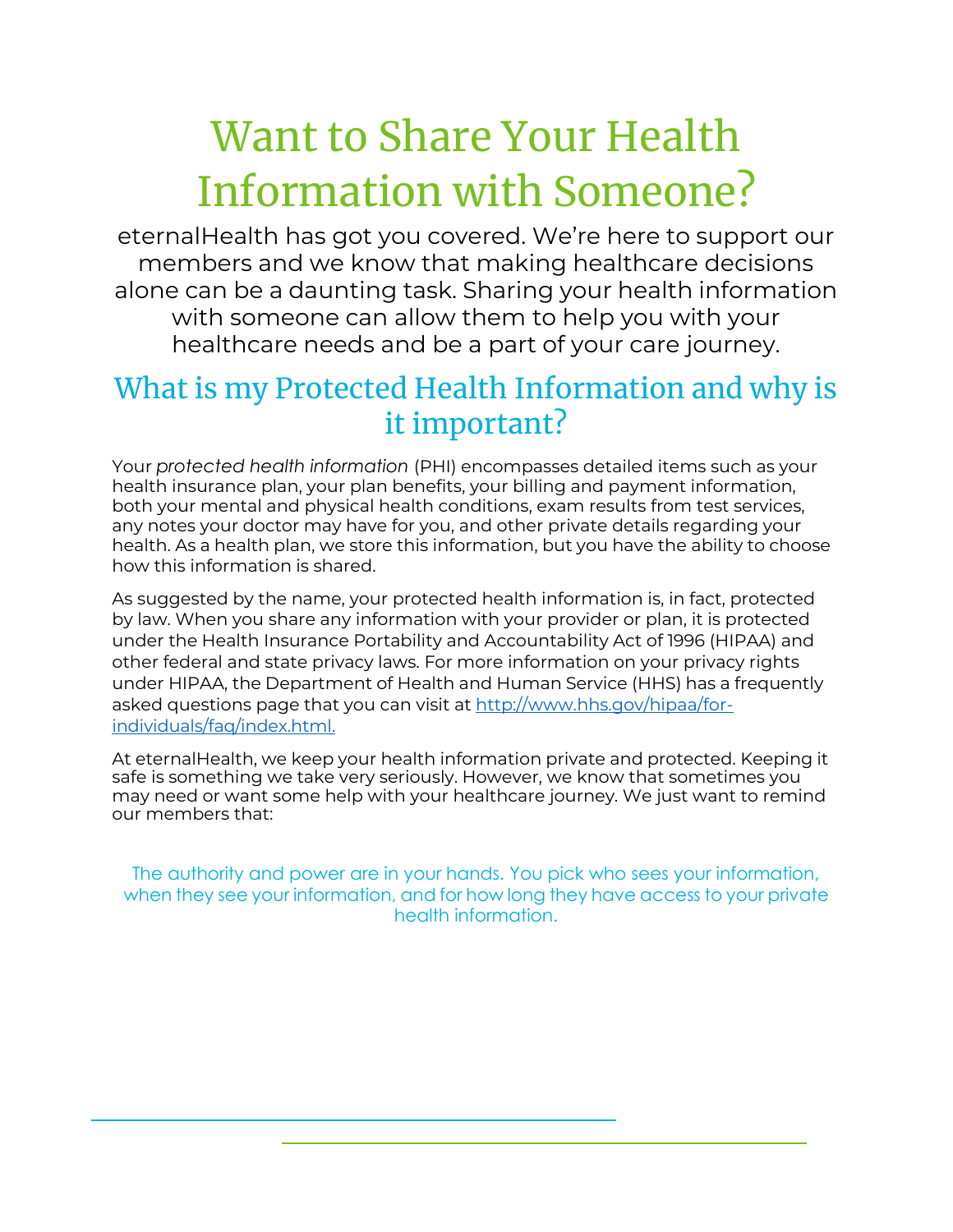# Want to Share Your Health Information with Someone?

eternalHealth has got you covered. We're here to support our members and we know that making healthcare decisions alone can be a daunting task. Sharing your health information with someone can allow them to help you with your healthcare needs and be a part of your care journey.

## What is my Protected Health Information and why is it important?

Your *protected health information* (PHI) encompasses detailed items such as your health insurance plan, your plan benefits, your billing and payment information, both your mental and physical health conditions, exam results from test services, any notes your doctor may have for you, and other private details regarding your health. As a health plan, we store this information, but you have the ability to choose how this information is shared.

As suggested by the name, your protected health information is, in fact, protected by law. When you share any information with your provider or plan, it is protected under the Health Insurance Portability and Accountability Act of 1996 (HIPAA) and other federal and state privacy laws. For more information on your privacy rights under HIPAA, the Department of Health and Human Service (HHS) has a frequently asked questions page that you can visit at [http://www.hhs.gov/hipaa/for](http://www.hhs.gov/hipaa/for-individuals/faq/index.html)[individuals/faq/index.html.](http://www.hhs.gov/hipaa/for-individuals/faq/index.html)

At eternalHealth, we keep your health information private and protected. Keeping it safe is something we take very seriously. However, we know that sometimes you may need or want some help with your healthcare journey. We just want to remind our members that:

The authority and power are in your hands. You pick who sees your information, when they see your information, and for how long they have access to your private health information.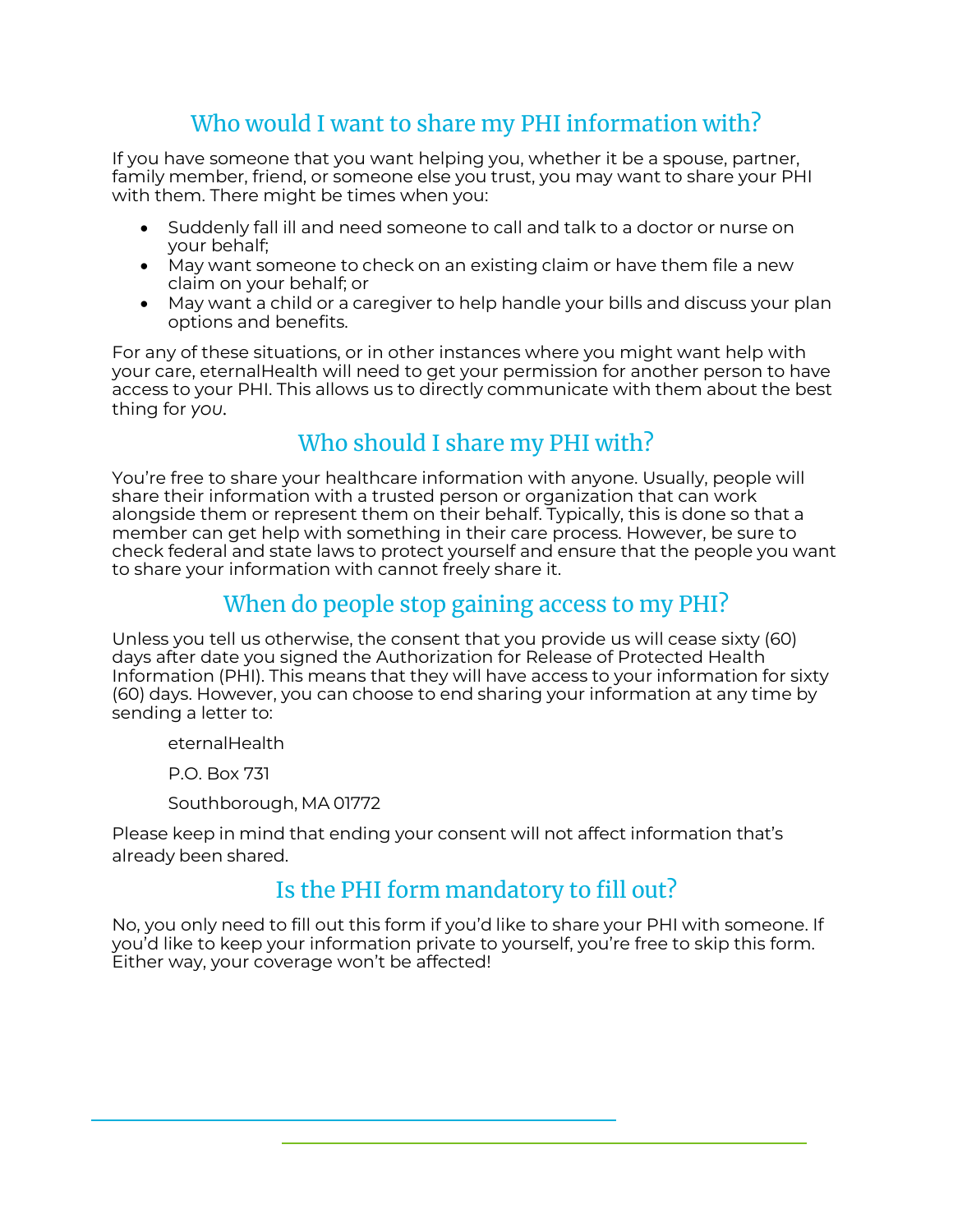#### Who would I want to share my PHI information with?

If you have someone that you want helping you, whether it be a spouse, partner, family member, friend, or someone else you trust, you may want to share your PHI with them. There might be times when you:

- Suddenly fall ill and need someone to call and talk to a doctor or nurse on your behalf;
- May want someone to check on an existing claim or have them file a new claim on your behalf; or
- May want a child or a caregiver to help handle your bills and discuss your plan options and benefits.

For any of these situations, or in other instances where you might want help with your care, eternalHealth will need to get your permission for another person to have access to your PHI. This allows us to directly communicate with them about the best thing for *you.*

### Who should I share my PHI with?

You're free to share your healthcare information with anyone. Usually, people will share their information with a trusted person or organization that can work alongside them or represent them on their behalf. Typically, this is done so that a member can get help with something in their care process. However, be sure to check federal and state laws to protect yourself and ensure that the people you want to share your information with cannot freely share it.

#### When do people stop gaining access to my PHI?

Unless you tell us otherwise, the consent that you provide us will cease sixty (60) days after date you signed the Authorization for Release of Protected Health Information (PHI). This means that they will have access to your information for sixty (60) days. However, you can choose to end sharing your information at any time by sending a letter to:

eternalHealth

P.O. Box 731

Southborough, MA 01772

Please keep in mind that ending your consent will not affect information that's already been shared.

#### Is the PHI form mandatory to fill out?

No, you only need to fill out this form if you'd like to share your PHI with someone. If you'd like to keep your information private to yourself, you're free to skip this form. Either way, your coverage won't be affected!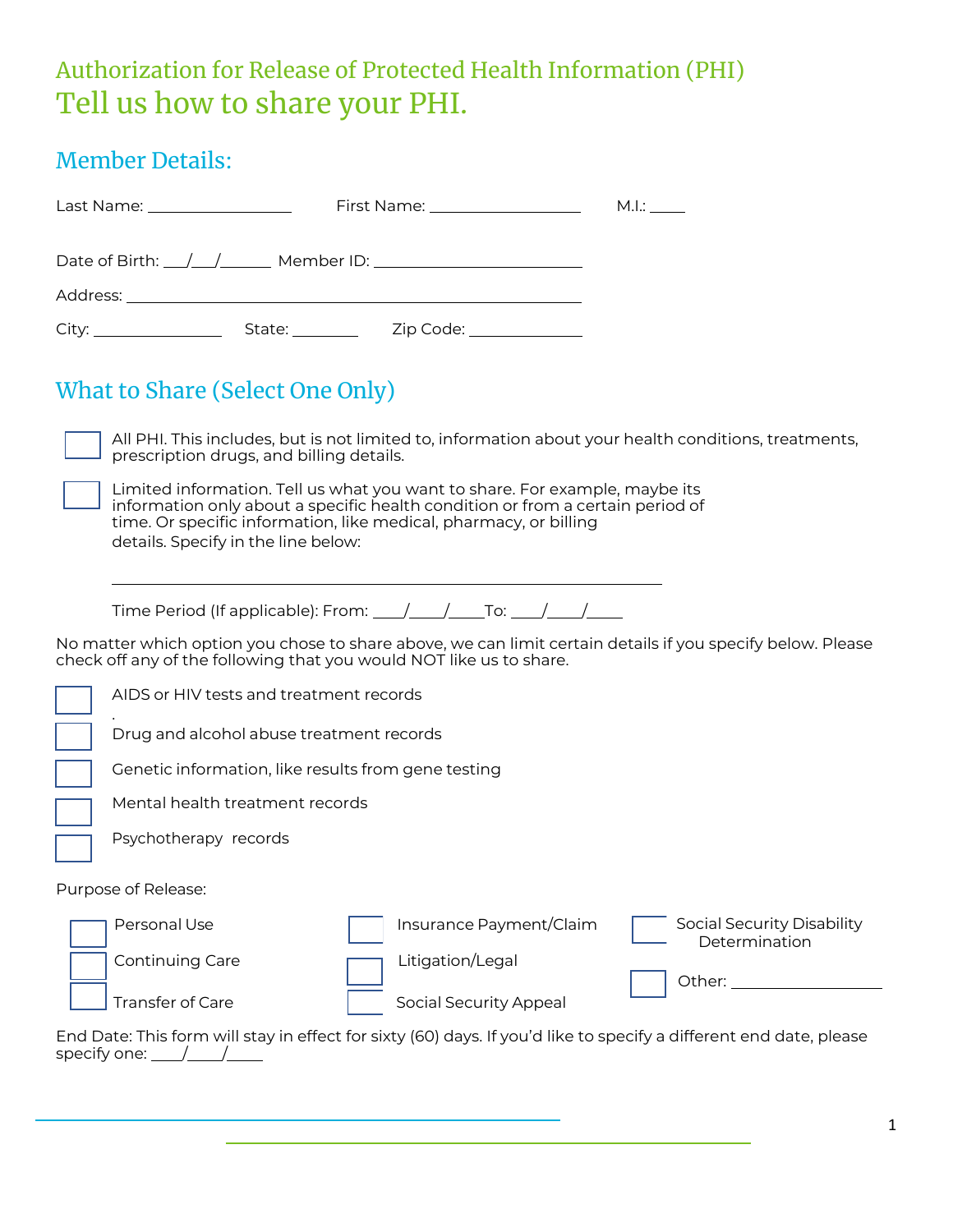## Authorization for Release of Protected Health Information (PHI) Tell us how to share your PHI.

#### Member Details:

| Last Name: ___________________                                                                                                                                                                                                | First Name: __________________ |  | M.l.: |  |  |  |
|-------------------------------------------------------------------------------------------------------------------------------------------------------------------------------------------------------------------------------|--------------------------------|--|-------|--|--|--|
|                                                                                                                                                                                                                               |                                |  |       |  |  |  |
|                                                                                                                                                                                                                               |                                |  |       |  |  |  |
|                                                                                                                                                                                                                               |                                |  |       |  |  |  |
| What to Share (Select One Only)                                                                                                                                                                                               |                                |  |       |  |  |  |
| . The contract of the contract of the contract of the contract of the contract of the contract of the contract of the contract of the contract of the contract of the contract of the contract of the contract of the contrac |                                |  |       |  |  |  |

All PHI. This includes, but is not limited to, information about your health conditions, treatments, prescription drugs, and billing details.

| Limited information. Tell us what you want to share. For example, maybe its    |
|--------------------------------------------------------------------------------|
| information only about a specific health condition or from a certain period of |
| time. Or specific information, like medical, pharmacy, or billing              |
| details. Specify in the line below:                                            |

| Time Period (If applicable): From: |  |  |
|------------------------------------|--|--|
|------------------------------------|--|--|

No matter which option you chose to share above, we can limit certain details if you specify below. Please check off any of the following that you would NOT like us to share.

|                                                                                                                                      | AIDS or HIV tests and treatment records             |                  |                               |  |                                             |
|--------------------------------------------------------------------------------------------------------------------------------------|-----------------------------------------------------|------------------|-------------------------------|--|---------------------------------------------|
|                                                                                                                                      | Drug and alcohol abuse treatment records            |                  |                               |  |                                             |
|                                                                                                                                      | Genetic information, like results from gene testing |                  |                               |  |                                             |
|                                                                                                                                      | Mental health treatment records                     |                  |                               |  |                                             |
|                                                                                                                                      | Psychotherapy records                               |                  |                               |  |                                             |
|                                                                                                                                      | Purpose of Release:                                 |                  |                               |  |                                             |
|                                                                                                                                      | Personal Use                                        |                  | Insurance Payment/Claim       |  | Social Security Disability<br>Determination |
|                                                                                                                                      | Continuing Care                                     | Litigation/Legal |                               |  | Other:                                      |
|                                                                                                                                      | <b>Transfer of Care</b>                             |                  | <b>Social Security Appeal</b> |  |                                             |
| End Date: This form will stay in effect for sixty (60) days. If you'd like to specify a different end date, please<br>specify one: _ |                                                     |                  |                               |  |                                             |